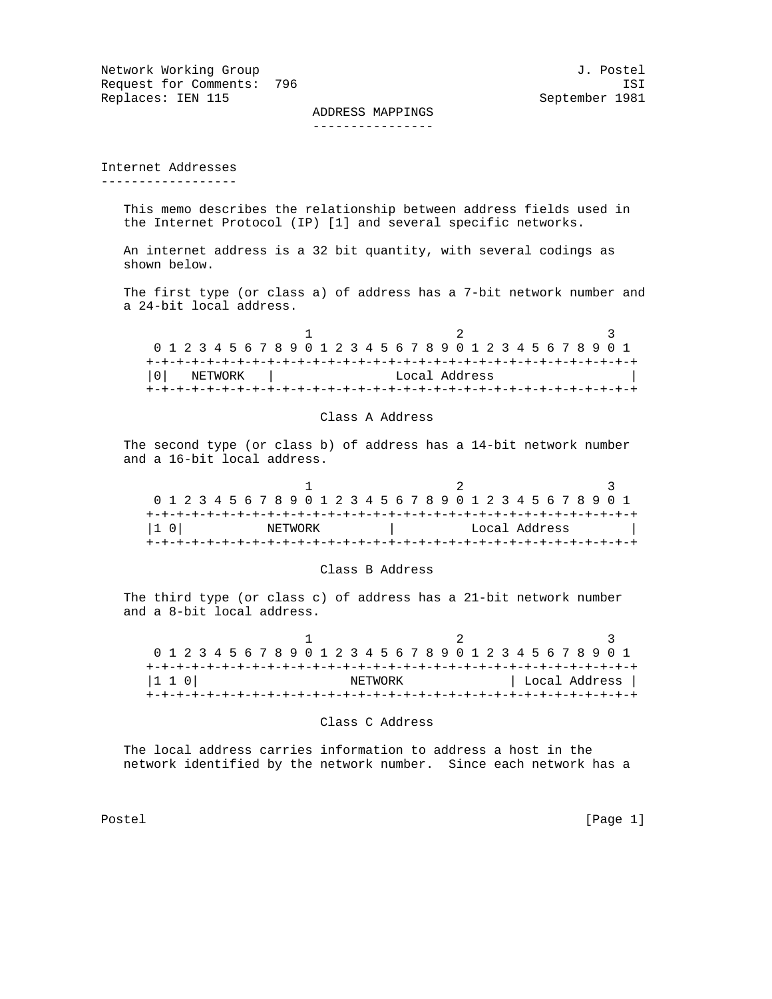Network Working Group and the set of the set of the set of the set of the set of the set of the set of the set o Request for Comments: 796 ISI<br>Replaces: IEN 115 Ceptember 1981 Replaces: IEN 115

 ADDRESS MAPPINGS ----------------

Internet Addresses ------------------

> This memo describes the relationship between address fields used in the Internet Protocol (IP) [1] and several specific networks.

 An internet address is a 32 bit quantity, with several codings as shown below.

 The first type (or class a) of address has a 7-bit network number and a 24-bit local address.

| 0 1 2 3 4 5 6 7 8 9 0 1 2 3 4 5 6 7 8 9 0 1 2 3 4 5 6 7 8 9 0 1 |         |  |  |  |  |  |  |  |  |  |  |  |  |  |               |  |  |  |  |  |  |  |  |  |
|-----------------------------------------------------------------|---------|--|--|--|--|--|--|--|--|--|--|--|--|--|---------------|--|--|--|--|--|--|--|--|--|
|                                                                 |         |  |  |  |  |  |  |  |  |  |  |  |  |  |               |  |  |  |  |  |  |  |  |  |
| l 0 l                                                           | NETWORK |  |  |  |  |  |  |  |  |  |  |  |  |  | Local Address |  |  |  |  |  |  |  |  |  |
|                                                                 |         |  |  |  |  |  |  |  |  |  |  |  |  |  |               |  |  |  |  |  |  |  |  |  |

# Class A Address

 The second type (or class b) of address has a 14-bit network number and a 16-bit local address.

| 0 1 2 3 4 5 6 7 8 9 0 1 2 3 4 5 6 7 8 9 0 1 2 3 4 5 6 7 8 9 0 1 |  |  |  |  |  |  |               |  |  |  |  |  |  |  |  |  |  |  |  |  |  |  |  |  |  |  |  |
|-----------------------------------------------------------------|--|--|--|--|--|--|---------------|--|--|--|--|--|--|--|--|--|--|--|--|--|--|--|--|--|--|--|--|
|                                                                 |  |  |  |  |  |  |               |  |  |  |  |  |  |  |  |  |  |  |  |  |  |  |  |  |  |  |  |
| $ 1\ 0 $<br>NETWORK                                             |  |  |  |  |  |  | Local Address |  |  |  |  |  |  |  |  |  |  |  |  |  |  |  |  |  |  |  |  |
|                                                                 |  |  |  |  |  |  |               |  |  |  |  |  |  |  |  |  |  |  |  |  |  |  |  |  |  |  |  |

## Class B Address

 The third type (or class c) of address has a 21-bit network number and a 8-bit local address.

| 0 1 2 3 4 5 6 7 8 9 0 1 2 3 4 5 6 7 8 9 0 1 2 3 4 5 6 7 8 9 0 1 |  |  |  |  |  |  |         |  |  |  |  |  |  |  |               |
|-----------------------------------------------------------------|--|--|--|--|--|--|---------|--|--|--|--|--|--|--|---------------|
|                                                                 |  |  |  |  |  |  |         |  |  |  |  |  |  |  |               |
| 1 1 0                                                           |  |  |  |  |  |  | NETWORK |  |  |  |  |  |  |  | Local Address |
|                                                                 |  |  |  |  |  |  |         |  |  |  |  |  |  |  |               |

### Class C Address

 The local address carries information to address a host in the network identified by the network number. Since each network has a

Postel [Page 1] [Page 1]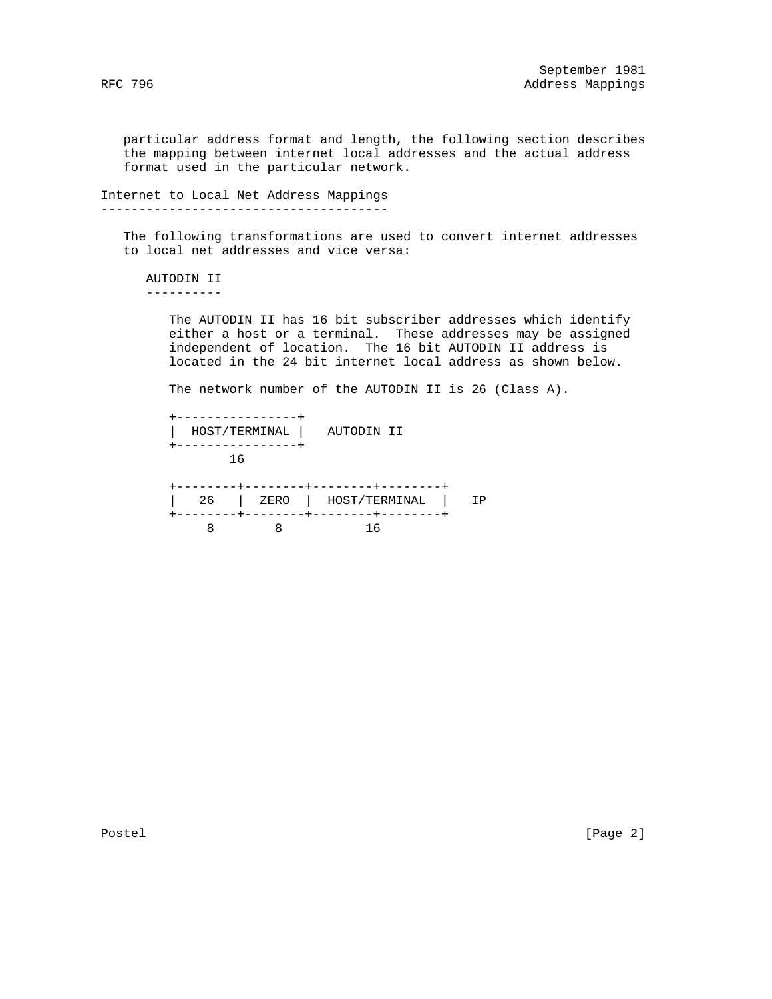particular address format and length, the following section describes the mapping between internet local addresses and the actual address format used in the particular network.

Internet to Local Net Address Mappings --------------------------------------

 The following transformations are used to convert internet addresses to local net addresses and vice versa:

 AUTODIN II ----------

> The AUTODIN II has 16 bit subscriber addresses which identify either a host or a terminal. These addresses may be assigned independent of location. The 16 bit AUTODIN II address is located in the 24 bit internet local address as shown below.

The network number of the AUTODIN II is 26 (Class A).

|    | HOST/TERMINAL   AUTODIN II |  |
|----|----------------------------|--|
| 16 |                            |  |
| 26 | ZERO   HOST/TERMINAL       |  |
|    |                            |  |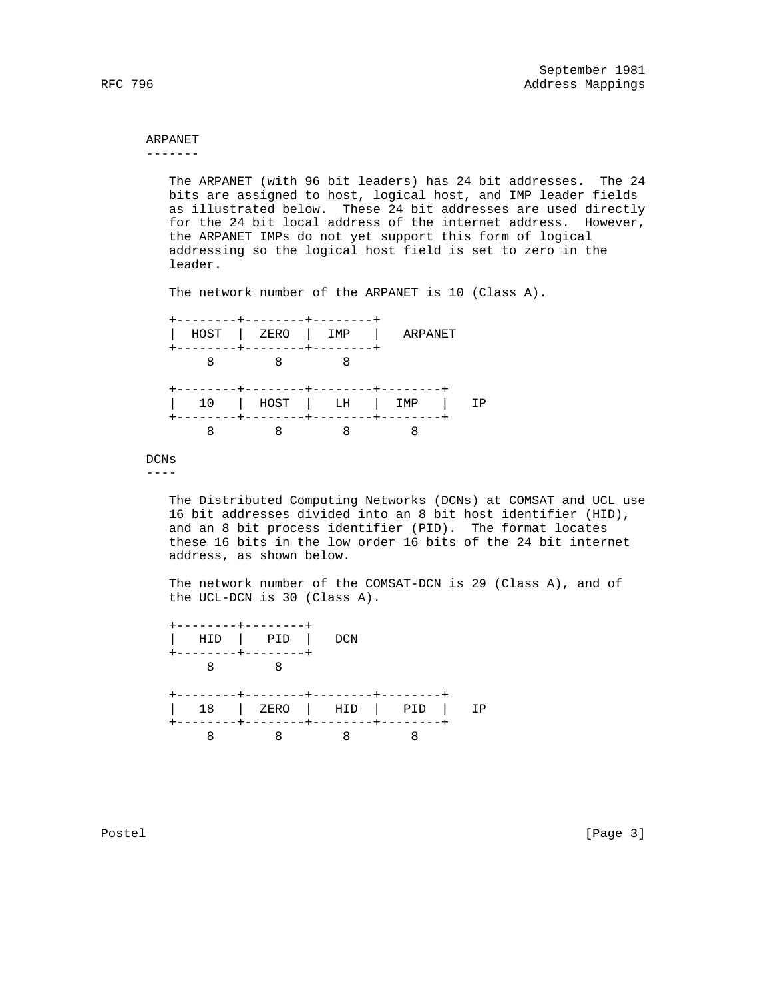# ARPANET

-------

 The ARPANET (with 96 bit leaders) has 24 bit addresses. The 24 bits are assigned to host, logical host, and IMP leader fields as illustrated below. These 24 bit addresses are used directly for the 24 bit local address of the internet address. However, the ARPANET IMPs do not yet support this form of logical addressing so the logical host field is set to zero in the leader.

The network number of the ARPANET is 10 (Class A).



## DCNs

----

 The Distributed Computing Networks (DCNs) at COMSAT and UCL use 16 bit addresses divided into an 8 bit host identifier (HID), and an 8 bit process identifier (PID). The format locates these 16 bits in the low order 16 bits of the 24 bit internet address, as shown below.

 The network number of the COMSAT-DCN is 29 (Class A), and of the UCL-DCN is 30 (Class A).



Postel [Page 3]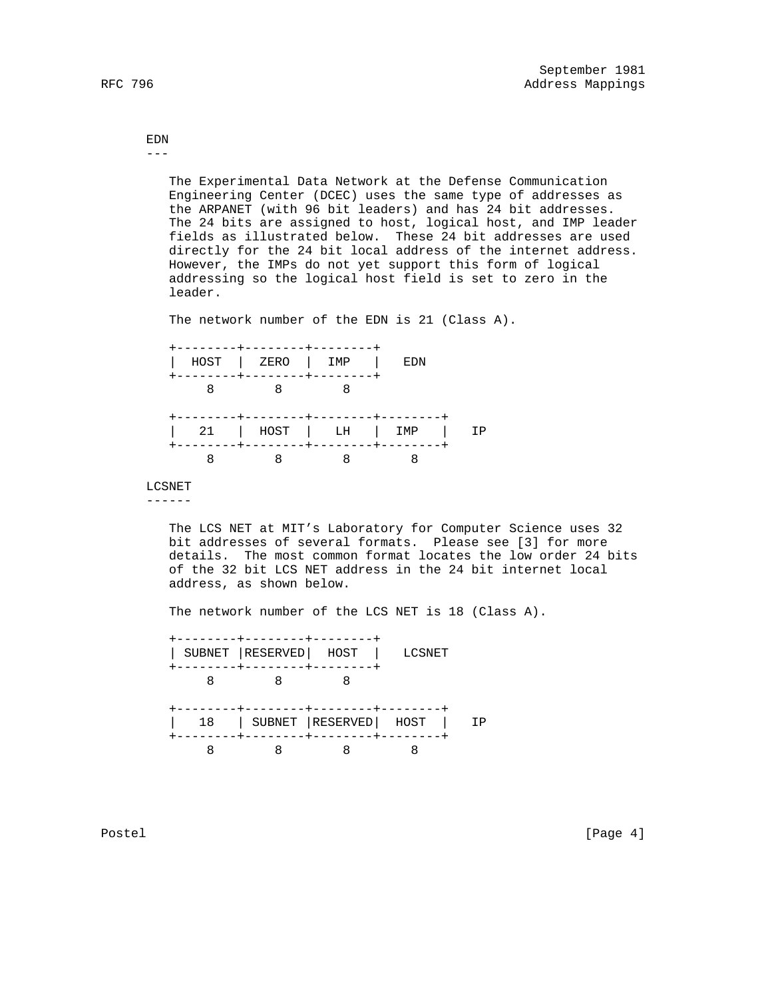EDN ---

> The Experimental Data Network at the Defense Communication Engineering Center (DCEC) uses the same type of addresses as the ARPANET (with 96 bit leaders) and has 24 bit addresses. The 24 bits are assigned to host, logical host, and IMP leader fields as illustrated below. These 24 bit addresses are used directly for the 24 bit local address of the internet address. However, the IMPs do not yet support this form of logical addressing so the logical host field is set to zero in the leader.

The network number of the EDN is 21 (Class A).

| . - - - - - - - + - - - - - - - - + -                               | - - - - - - - -   |                    |  |
|---------------------------------------------------------------------|-------------------|--------------------|--|
| HOST   ZERO   IMP<br>. - - - - - - - <del>+</del> - - - - - - - - - | . _ _ _ _ _ _ _ . | EDN                |  |
|                                                                     |                   |                    |  |
| --------+--------+-------+<br>21   HOST   LH   IMP                  |                   | -------<br>------- |  |
|                                                                     |                   |                    |  |

## LCSNET

------

 The LCS NET at MIT's Laboratory for Computer Science uses 32 bit addresses of several formats. Please see [3] for more details. The most common format locates the low order 24 bits of the 32 bit LCS NET address in the 24 bit internet local address, as shown below.

The network number of the LCS NET is 18 (Class A).

 +--------+--------+--------+ | SUBNET |RESERVED| HOST | LCSNET +--------+--------+--------+ 8 8 8 +--------+--------+--------+--------+ | 18 | SUBNET |RESERVED| HOST | IP +--------+--------+--------+--------+ 8 8 8 8

Postel [Page 4]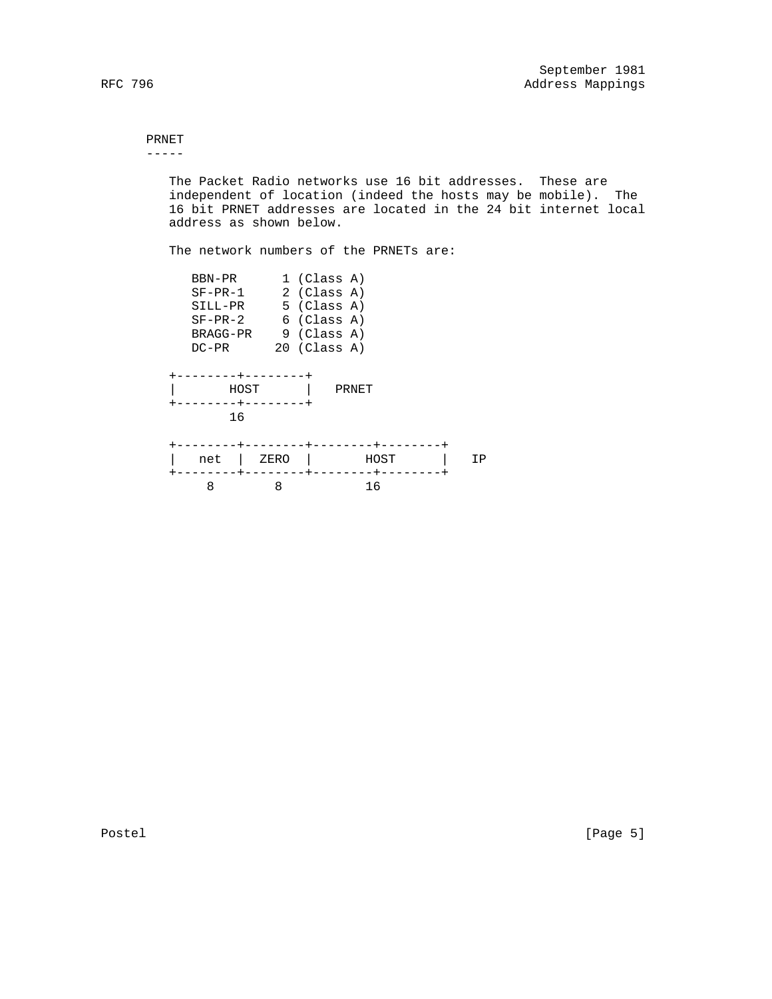#### PRNET -----

 The Packet Radio networks use 16 bit addresses. These are independent of location (indeed the hosts may be mobile). The 16 bit PRNET addresses are located in the 24 bit internet local address as shown below.

The network numbers of the PRNETs are:

| BBN-PR<br>$SF-PR-1$<br>SILL-PR<br>$SF-PR-2$<br>BRAGG-PR<br>$DC-PR$ |           | $1$ (Class A)<br>2 (Class A)<br>5 (Class A)<br>$6$ (Class A)<br>9 (Class A)<br>$20$ (Class A) |            |    |
|--------------------------------------------------------------------|-----------|-----------------------------------------------------------------------------------------------|------------|----|
| HOST<br>16                                                         |           |                                                                                               | PRNET      |    |
| net<br>8                                                           | ZERO<br>8 |                                                                                               | HOST<br>16 | ΙP |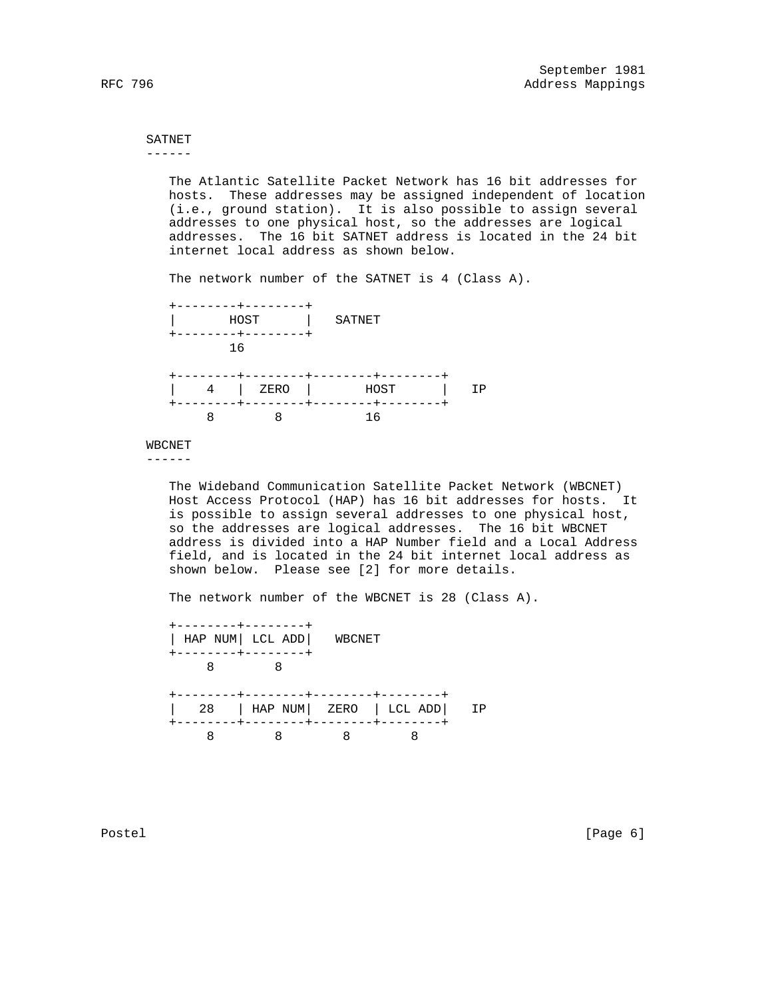#### SATNET ------

 The Atlantic Satellite Packet Network has 16 bit addresses for hosts. These addresses may be assigned independent of location (i.e., ground station). It is also possible to assign several addresses to one physical host, so the addresses are logical addresses. The 16 bit SATNET address is located in the 24 bit internet local address as shown below.

The network number of the SATNET is 4 (Class A).



### WBCNET

------

 The Wideband Communication Satellite Packet Network (WBCNET) Host Access Protocol (HAP) has 16 bit addresses for hosts. It is possible to assign several addresses to one physical host, so the addresses are logical addresses. The 16 bit WBCNET address is divided into a HAP Number field and a Local Address field, and is located in the 24 bit internet local address as shown below. Please see [2] for more details.

The network number of the WBCNET is 28 (Class A).



Postel [Page 6] [Page 6]